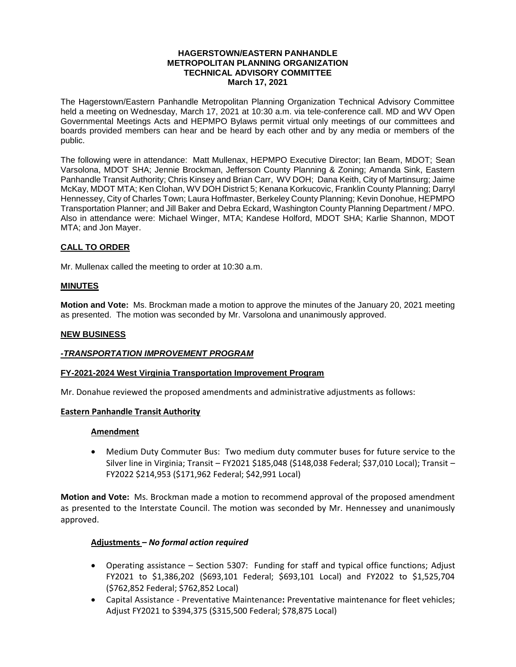#### **HAGERSTOWN/EASTERN PANHANDLE METROPOLITAN PLANNING ORGANIZATION TECHNICAL ADVISORY COMMITTEE March 17, 2021**

The Hagerstown/Eastern Panhandle Metropolitan Planning Organization Technical Advisory Committee held a meeting on Wednesday, March 17, 2021 at 10:30 a.m. via tele-conference call. MD and WV Open Governmental Meetings Acts and HEPMPO Bylaws permit virtual only meetings of our committees and boards provided members can hear and be heard by each other and by any media or members of the public.

The following were in attendance: Matt Mullenax, HEPMPO Executive Director; Ian Beam, MDOT; Sean Varsolona, MDOT SHA; Jennie Brockman, Jefferson County Planning & Zoning; Amanda Sink, Eastern Panhandle Transit Authority; Chris Kinsey and Brian Carr, WV DOH; Dana Keith, City of Martinsurg; Jaime McKay, MDOT MTA; Ken Clohan, WV DOH District 5; Kenana Korkucovic, Franklin County Planning; Darryl Hennessey, City of Charles Town; Laura Hoffmaster, Berkeley County Planning; Kevin Donohue, HEPMPO Transportation Planner; and Jill Baker and Debra Eckard, Washington County Planning Department / MPO. Also in attendance were: Michael Winger, MTA; Kandese Holford, MDOT SHA; Karlie Shannon, MDOT MTA; and Jon Mayer.

# **CALL TO ORDER**

Mr. Mullenax called the meeting to order at 10:30 a.m.

## **MINUTES**

**Motion and Vote:** Ms. Brockman made a motion to approve the minutes of the January 20, 2021 meeting as presented. The motion was seconded by Mr. Varsolona and unanimously approved.

#### **NEW BUSINESS**

## *-TRANSPORTATION IMPROVEMENT PROGRAM*

#### **FY-2021-2024 West Virginia Transportation Improvement Program**

Mr. Donahue reviewed the proposed amendments and administrative adjustments as follows:

## **Eastern Panhandle Transit Authority**

## **Amendment**

 Medium Duty Commuter Bus: Two medium duty commuter buses for future service to the Silver line in Virginia; Transit – FY2021 \$185,048 (\$148,038 Federal; \$37,010 Local); Transit – FY2022 \$214,953 (\$171,962 Federal; \$42,991 Local)

**Motion and Vote:** Ms. Brockman made a motion to recommend approval of the proposed amendment as presented to the Interstate Council. The motion was seconded by Mr. Hennessey and unanimously approved.

## **Adjustments** *– No formal action required*

- Operating assistance Section 5307: Funding for staff and typical office functions; Adjust FY2021 to \$1,386,202 (\$693,101 Federal; \$693,101 Local) and FY2022 to \$1,525,704 (\$762,852 Federal; \$762,852 Local)
- Capital Assistance Preventative Maintenance**:** Preventative maintenance for fleet vehicles; Adjust FY2021 to \$394,375 (\$315,500 Federal; \$78,875 Local)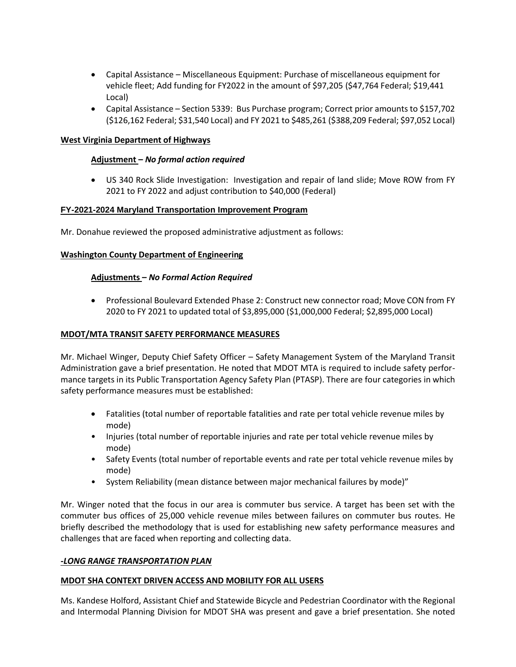- Capital Assistance Miscellaneous Equipment: Purchase of miscellaneous equipment for vehicle fleet; Add funding for FY2022 in the amount of \$97,205 (\$47,764 Federal; \$19,441 Local)
- Capital Assistance Section 5339: Bus Purchase program; Correct prior amounts to \$157,702 (\$126,162 Federal; \$31,540 Local) and FY 2021 to \$485,261 (\$388,209 Federal; \$97,052 Local)

## **West Virginia Department of Highways**

## **Adjustment –** *No formal action required*

 US 340 Rock Slide Investigation: Investigation and repair of land slide; Move ROW from FY 2021 to FY 2022 and adjust contribution to \$40,000 (Federal)

# **FY-2021-2024 Maryland Transportation Improvement Program**

Mr. Donahue reviewed the proposed administrative adjustment as follows:

## **Washington County Department of Engineering**

# **Adjustments –** *No Formal Action Required*

 Professional Boulevard Extended Phase 2: Construct new connector road; Move CON from FY 2020 to FY 2021 to updated total of \$3,895,000 (\$1,000,000 Federal; \$2,895,000 Local)

## **MDOT/MTA TRANSIT SAFETY PERFORMANCE MEASURES**

Mr. Michael Winger, Deputy Chief Safety Officer – Safety Management System of the Maryland Transit Administration gave a brief presentation. He noted that MDOT MTA is required to include safety performance targets in its Public Transportation Agency Safety Plan (PTASP). There are four categories in which safety performance measures must be established:

- Fatalities (total number of reportable fatalities and rate per total vehicle revenue miles by mode)
- Injuries (total number of reportable injuries and rate per total vehicle revenue miles by mode)
- Safety Events (total number of reportable events and rate per total vehicle revenue miles by mode)
- System Reliability (mean distance between major mechanical failures by mode)"

Mr. Winger noted that the focus in our area is commuter bus service. A target has been set with the commuter bus offices of 25,000 vehicle revenue miles between failures on commuter bus routes. He briefly described the methodology that is used for establishing new safety performance measures and challenges that are faced when reporting and collecting data.

## *-LONG RANGE TRANSPORTATION PLAN*

## **MDOT SHA CONTEXT DRIVEN ACCESS AND MOBILITY FOR ALL USERS**

Ms. Kandese Holford, Assistant Chief and Statewide Bicycle and Pedestrian Coordinator with the Regional and Intermodal Planning Division for MDOT SHA was present and gave a brief presentation. She noted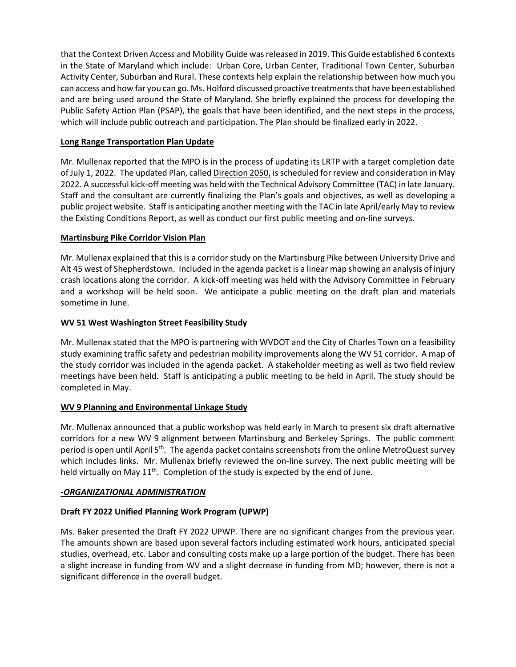that the Context Driven Access and Mobility Guide was released in 2019. This Guide established 6 contexts in the State of Maryland which include: Urban Core, Urban Center, Traditional Town Center, Suburban Activity Center, Suburban and Rural. These contexts help explain the relationship between how much you can access and how far you can go. Ms. Holford discussed proactive treatments that have been established and are being used around the State of Maryland. She briefly explained the process for developing the Public Safety Action Plan (PSAP), the goals that have been identified, and the next steps in the process, which will include public outreach and participation. The Plan should be finalized early in 2022.

# **Long Range Transportation Plan Update**

Mr. Mullenax reported that the MPO is in the process of updating its LRTP with a target completion date of July 1, 2022. The updated Plan, called Direction 2050, is scheduled for review and consideration in May 2022. A successful kick-off meeting was held with the Technical Advisory Committee (TAC) in late January. Staff and the consultant are currently finalizing the Plan's goals and objectives, as well as developing a public project website. Staff is anticipating another meeting with the TAC in late April/early May to review the Existing Conditions Report, as well as conduct our first public meeting and on-line surveys.

# **Martinsburg Pike Corridor Vision Plan**

Mr. Mullenax explained that this is a corridor study on the Martinsburg Pike between University Drive and Alt 45 west of Shepherdstown. Included in the agenda packet is a linear map showing an analysis of injury crash locations along the corridor. A kick-off meeting was held with the Advisory Committee in February and a workshop will be held soon. We anticipate a public meeting on the draft plan and materials sometime in June.

## **WV 51 West Washington Street Feasibility Study**

Mr. Mullenax stated that the MPO is partnering with WVDOT and the City of Charles Town on a feasibility study examining traffic safety and pedestrian mobility improvements along the WV 51 corridor. A map of the study corridor was included in the agenda packet. A stakeholder meeting as well as two field review meetings have been held. Staff is anticipating a public meeting to be held in April. The study should be completed in May.

# **WV 9 Planning and Environmental Linkage Study**

Mr. Mullenax announced that a public workshop was held early in March to present six draft alternative corridors for a new WV 9 alignment between Martinsburg and Berkeley Springs. The public comment period is open until April 5<sup>th</sup>. The agenda packet contains screenshots from the online MetroQuest survey which includes links. Mr. Mullenax briefly reviewed the on-line survey. The next public meeting will be held virtually on May 11<sup>th</sup>. Completion of the study is expected by the end of June.

## *-ORGANIZATIONAL ADMINISTRATION*

# **Draft FY 2022 Unified Planning Work Program (UPWP)**

Ms. Baker presented the Draft FY 2022 UPWP. There are no significant changes from the previous year. The amounts shown are based upon several factors including estimated work hours, anticipated special studies, overhead, etc. Labor and consulting costs make up a large portion of the budget. There has been a slight increase in funding from WV and a slight decrease in funding from MD; however, there is not a significant difference in the overall budget.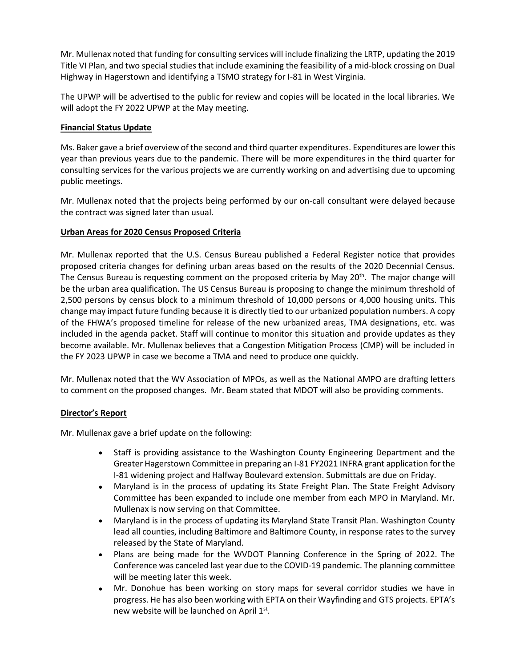Mr. Mullenax noted that funding for consulting services will include finalizing the LRTP, updating the 2019 Title VI Plan, and two special studies that include examining the feasibility of a mid-block crossing on Dual Highway in Hagerstown and identifying a TSMO strategy for I-81 in West Virginia.

The UPWP will be advertised to the public for review and copies will be located in the local libraries. We will adopt the FY 2022 UPWP at the May meeting.

## **Financial Status Update**

Ms. Baker gave a brief overview of the second and third quarter expenditures. Expenditures are lower this year than previous years due to the pandemic. There will be more expenditures in the third quarter for consulting services for the various projects we are currently working on and advertising due to upcoming public meetings.

Mr. Mullenax noted that the projects being performed by our on-call consultant were delayed because the contract was signed later than usual.

# **Urban Areas for 2020 Census Proposed Criteria**

Mr. Mullenax reported that the U.S. Census Bureau published a Federal Register notice that provides proposed criteria changes for defining urban areas based on the results of the 2020 Decennial Census. The Census Bureau is requesting comment on the proposed criteria by May 20<sup>th</sup>. The major change will be the urban area qualification. The US Census Bureau is proposing to change the minimum threshold of 2,500 persons by census block to a minimum threshold of 10,000 persons or 4,000 housing units. This change may impact future funding because it is directly tied to our urbanized population numbers. A copy of the FHWA's proposed timeline for release of the new urbanized areas, TMA designations, etc. was included in the agenda packet. Staff will continue to monitor this situation and provide updates as they become available. Mr. Mullenax believes that a Congestion Mitigation Process (CMP) will be included in the FY 2023 UPWP in case we become a TMA and need to produce one quickly.

Mr. Mullenax noted that the WV Association of MPOs, as well as the National AMPO are drafting letters to comment on the proposed changes. Mr. Beam stated that MDOT will also be providing comments.

## **Director's Report**

Mr. Mullenax gave a brief update on the following:

- Staff is providing assistance to the Washington County Engineering Department and the Greater Hagerstown Committee in preparing an I-81 FY2021 INFRA grant application for the I-81 widening project and Halfway Boulevard extension. Submittals are due on Friday.
- Maryland is in the process of updating its State Freight Plan. The State Freight Advisory Committee has been expanded to include one member from each MPO in Maryland. Mr. Mullenax is now serving on that Committee.
- Maryland is in the process of updating its Maryland State Transit Plan. Washington County lead all counties, including Baltimore and Baltimore County, in response rates to the survey released by the State of Maryland.
- Plans are being made for the WVDOT Planning Conference in the Spring of 2022. The Conference was canceled last year due to the COVID-19 pandemic. The planning committee will be meeting later this week.
- Mr. Donohue has been working on story maps for several corridor studies we have in progress. He has also been working with EPTA on their Wayfinding and GTS projects. EPTA's new website will be launched on April 1st.